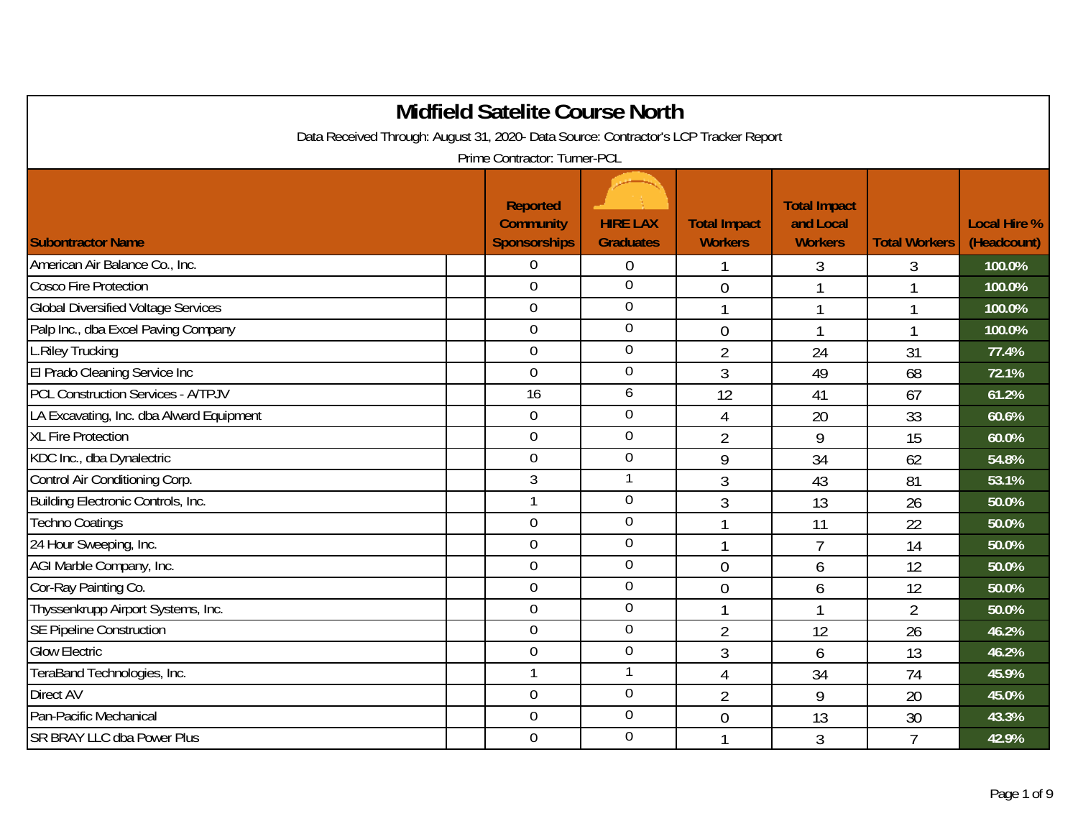|                                                                                      | <b>Midfield Satelite Course North</b>               |                                     |                                       |                                                    |                      |                                    |
|--------------------------------------------------------------------------------------|-----------------------------------------------------|-------------------------------------|---------------------------------------|----------------------------------------------------|----------------------|------------------------------------|
| Data Received Through: August 31, 2020- Data Source: Contractor's LCP Tracker Report |                                                     |                                     |                                       |                                                    |                      |                                    |
|                                                                                      | Prime Contractor: Turner-PCL                        |                                     |                                       |                                                    |                      |                                    |
| <b>Subontractor Name</b>                                                             | Reported<br><b>Community</b><br><b>Sponsorships</b> | <b>HIRE LAX</b><br><b>Graduates</b> | <b>Total Impact</b><br><b>Workers</b> | <b>Total Impact</b><br>and Local<br><b>Workers</b> | <b>Total Workers</b> | <b>Local Hire %</b><br>(Headcount) |
| American Air Balance Co., Inc.                                                       | $\Omega$                                            | $\overline{0}$                      | 1                                     | 3                                                  | 3                    | 100.0%                             |
| <b>Cosco Fire Protection</b>                                                         | $\overline{0}$                                      | $\overline{0}$                      | $\overline{0}$                        |                                                    | 1                    | 100.0%                             |
| <b>Global Diversified Voltage Services</b>                                           | $\mathbf 0$                                         | $\boldsymbol{0}$                    |                                       | $\mathbf{1}$                                       | $\mathbf{1}$         | 100.0%                             |
| Palp Inc., dba Excel Paving Company                                                  | $\mathbf 0$                                         | $\overline{0}$                      | $\overline{0}$                        | $\mathbf{I}$                                       | $\overline{1}$       | 100.0%                             |
| L.Riley Trucking                                                                     | $\mathbf 0$                                         | $\overline{0}$                      | $\overline{2}$                        | 24                                                 | 31                   | 77.4%                              |
| El Prado Cleaning Service Inc                                                        | $\mathbf 0$                                         | $\mathbf 0$                         | $\mathfrak{Z}$                        | 49                                                 | 68                   | 72.1%                              |
| <b>PCL Construction Services - A/TPJV</b>                                            | 16                                                  | 6                                   | 12                                    | 41                                                 | 67                   | 61.2%                              |
| LA Excavating, Inc. dba Alward Equipment                                             | $\boldsymbol{0}$                                    | $\mathbf 0$                         | $\overline{4}$                        | 20                                                 | 33                   | 60.6%                              |
| <b>XL Fire Protection</b>                                                            | $\overline{0}$                                      | $\overline{0}$                      | $\overline{2}$                        | 9                                                  | 15                   | 60.0%                              |
| KDC Inc., dba Dynalectric                                                            | $\overline{0}$                                      | $\mathbf 0$                         | 9                                     | 34                                                 | 62                   | 54.8%                              |
| Control Air Conditioning Corp.                                                       | 3                                                   |                                     | $\mathfrak{Z}$                        | 43                                                 | 81                   | 53.1%                              |
| Building Electronic Controls, Inc.                                                   |                                                     | $\mathbf 0$                         | $\mathfrak{Z}$                        | 13                                                 | 26                   | 50.0%                              |
| <b>Techno Coatings</b>                                                               | $\overline{0}$                                      | $\mathbf 0$                         | 1                                     | 11                                                 | 22                   | 50.0%                              |
| 24 Hour Sweeping, Inc.                                                               | $\overline{0}$                                      | $\overline{0}$                      |                                       | $\overline{7}$                                     | 14                   | 50.0%                              |
| AGI Marble Company, Inc.                                                             | $\overline{0}$                                      | $\mathbf 0$                         | $\overline{0}$                        | 6                                                  | 12                   | 50.0%                              |
| Cor-Ray Painting Co.                                                                 | $\overline{0}$                                      | $\overline{0}$                      | $\overline{0}$                        | 6                                                  | 12                   | 50.0%                              |
| Thyssenkrupp Airport Systems, Inc.                                                   | $\mathbf 0$                                         | $\mathbf 0$                         | $\mathbf{1}$                          | $\mathbf{1}$                                       | $\overline{2}$       | 50.0%                              |
| <b>SE Pipeline Construction</b>                                                      | $\overline{0}$                                      | $\overline{0}$                      | $\overline{2}$                        | 12                                                 | 26                   | 46.2%                              |
| <b>Glow Electric</b>                                                                 | $\overline{0}$                                      | $\mathbf 0$                         | $\mathfrak{Z}$                        | 6                                                  | 13                   | 46.2%                              |
| TeraBand Technologies, Inc.                                                          |                                                     | $\mathbf{1}$                        | 4                                     | 34                                                 | 74                   | 45.9%                              |
| Direct AV                                                                            | $\overline{0}$                                      | $\boldsymbol{0}$                    | $\overline{2}$                        | 9                                                  | 20                   | 45.0%                              |
| Pan-Pacific Mechanical                                                               | $\overline{0}$                                      | $\mathbf 0$                         | $\overline{0}$                        | 13                                                 | 30                   | 43.3%                              |
| SR BRAY LLC dba Power Plus                                                           | $\mathbf 0$                                         | $\mathbf 0$                         |                                       | 3                                                  | $\overline{7}$       | 42.9%                              |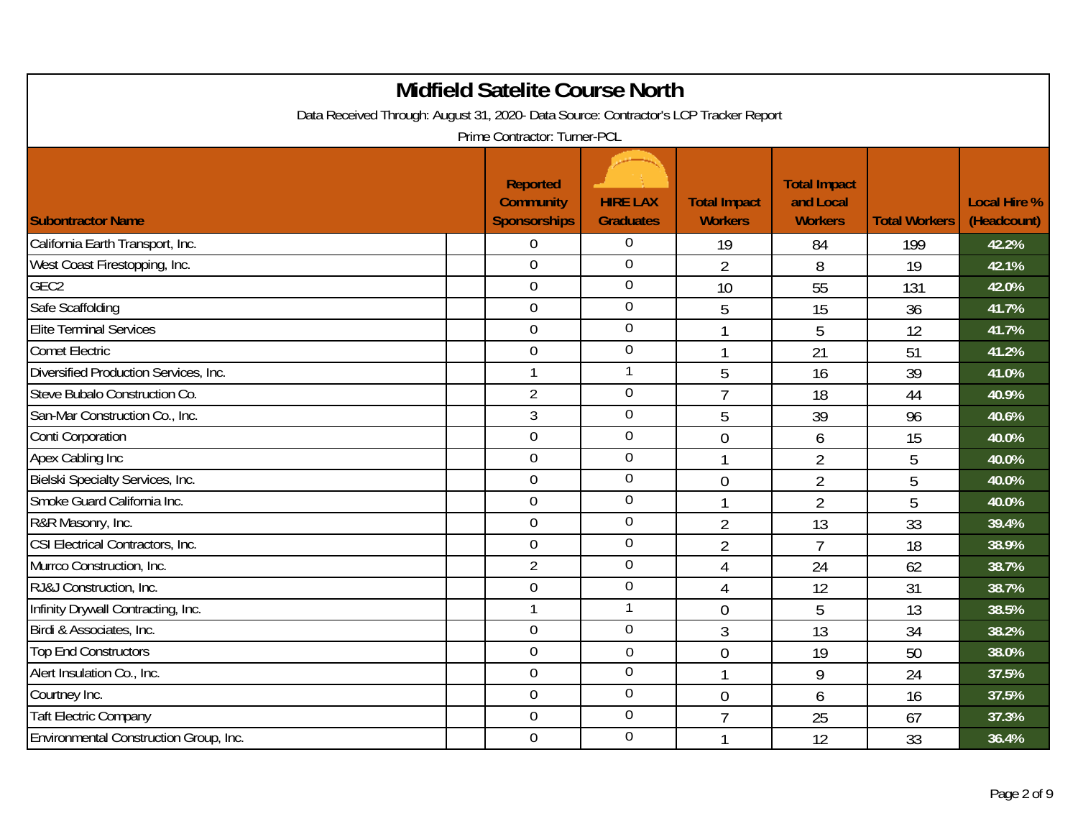| Data Received Through: August 31, 2020- Data Source: Contractor's LCP Tracker Report |                                                     | <b>Midfield Satelite Course North</b> |                                       |                                                    |                      |                                    |
|--------------------------------------------------------------------------------------|-----------------------------------------------------|---------------------------------------|---------------------------------------|----------------------------------------------------|----------------------|------------------------------------|
|                                                                                      | Prime Contractor: Turner-PCL                        |                                       |                                       |                                                    |                      |                                    |
| <b>Subontractor Name</b>                                                             | Reported<br><b>Community</b><br><b>Sponsorships</b> | <b>HIRE LAX</b><br><b>Graduates</b>   | <b>Total Impact</b><br><b>Workers</b> | <b>Total Impact</b><br>and Local<br><b>Workers</b> | <b>Total Workers</b> | <b>Local Hire %</b><br>(Headcount) |
| California Earth Transport, Inc.                                                     | $\overline{0}$                                      | $\overline{0}$                        | 19                                    | 84                                                 | 199                  | 42.2%                              |
| West Coast Firestopping, Inc.                                                        | $\mathbf 0$                                         | $\mathbf 0$                           | $\overline{2}$                        | 8                                                  | 19                   | 42.1%                              |
| GEC <sub>2</sub>                                                                     | $\overline{0}$                                      | $\mathbf 0$                           | 10                                    | 55                                                 | 131                  | 42.0%                              |
| Safe Scaffolding                                                                     | $\mathbf 0$                                         | $\overline{0}$                        | 5                                     | 15                                                 | 36                   | 41.7%                              |
| <b>Elite Terminal Services</b>                                                       | $\overline{0}$                                      | $\mathbf 0$                           | $\mathbf{1}$                          | 5                                                  | 12                   | 41.7%                              |
| <b>Comet Electric</b>                                                                | $\overline{0}$                                      | $\overline{0}$                        | $\mathbf{1}$                          | 21                                                 | 51                   | 41.2%                              |
| Diversified Production Services, Inc.                                                |                                                     |                                       | 5                                     | 16                                                 | 39                   | 41.0%                              |
| Steve Bubalo Construction Co.                                                        | $\overline{2}$                                      | $\mathbf 0$                           | $\overline{7}$                        | 18                                                 | 44                   | 40.9%                              |
| San-Mar Construction Co., Inc.                                                       | 3                                                   | $\overline{0}$                        | 5                                     | 39                                                 | 96                   | 40.6%                              |
| Conti Corporation                                                                    | $\overline{0}$                                      | $\boldsymbol{0}$                      | $\overline{0}$                        | 6                                                  | 15                   | 40.0%                              |
| Apex Cabling Inc                                                                     | $\mathbf 0$                                         | $\overline{0}$                        | $\mathbf{1}$                          | $\overline{2}$                                     | 5                    | 40.0%                              |
| Bielski Specialty Services, Inc.                                                     | $\overline{0}$                                      | $\mathbf 0$                           | $\mathbf 0$                           | 2                                                  | 5                    | 40.0%                              |
| Smoke Guard California Inc.                                                          | $\overline{0}$                                      | $\mathbf 0$                           |                                       | $\overline{2}$                                     | 5                    | 40.0%                              |
| R&R Masonry, Inc.                                                                    | $\overline{0}$                                      | $\mathbf 0$                           | $\overline{2}$                        | 13                                                 | 33                   | 39.4%                              |
| CSI Electrical Contractors, Inc.                                                     | $\mathbf 0$                                         | $\overline{0}$                        | $\overline{2}$                        | $\overline{7}$                                     | 18                   | 38.9%                              |
| Murrco Construction, Inc.                                                            | $\overline{2}$                                      | $\mathbf 0$                           | $\overline{4}$                        | 24                                                 | 62                   | 38.7%                              |
| RJ&J Construction, Inc.                                                              | $\overline{0}$                                      | $\overline{0}$                        | 4                                     | 12                                                 | 31                   | 38.7%                              |
| Infinity Drywall Contracting, Inc.                                                   |                                                     | $\mathbf{1}$                          | $\overline{0}$                        | 5                                                  | 13                   | 38.5%                              |
| Birdi & Associates, Inc.                                                             | $\overline{0}$                                      | $\overline{0}$                        | 3                                     | 13                                                 | 34                   | 38.2%                              |
| <b>Top End Constructors</b>                                                          | $\mathbf 0$                                         | $\overline{0}$                        | $\overline{0}$                        | 19                                                 | 50                   | 38.0%                              |
| Alert Insulation Co., Inc.                                                           | $\mathbf 0$                                         | $\overline{0}$                        | $\mathbf{1}$                          | 9                                                  | 24                   | 37.5%                              |
| Courtney Inc.                                                                        | $\mathbf 0$                                         | $\mathbf 0$                           | $\overline{0}$                        | 6                                                  | 16                   | 37.5%                              |
| <b>Taft Electric Company</b>                                                         | $\overline{0}$                                      | 0                                     | $\overline{7}$                        | 25                                                 | 67                   | 37.3%                              |
| Environmental Construction Group, Inc.                                               | $\overline{0}$                                      | $\mathbf 0$                           |                                       | 12                                                 | 33                   | 36.4%                              |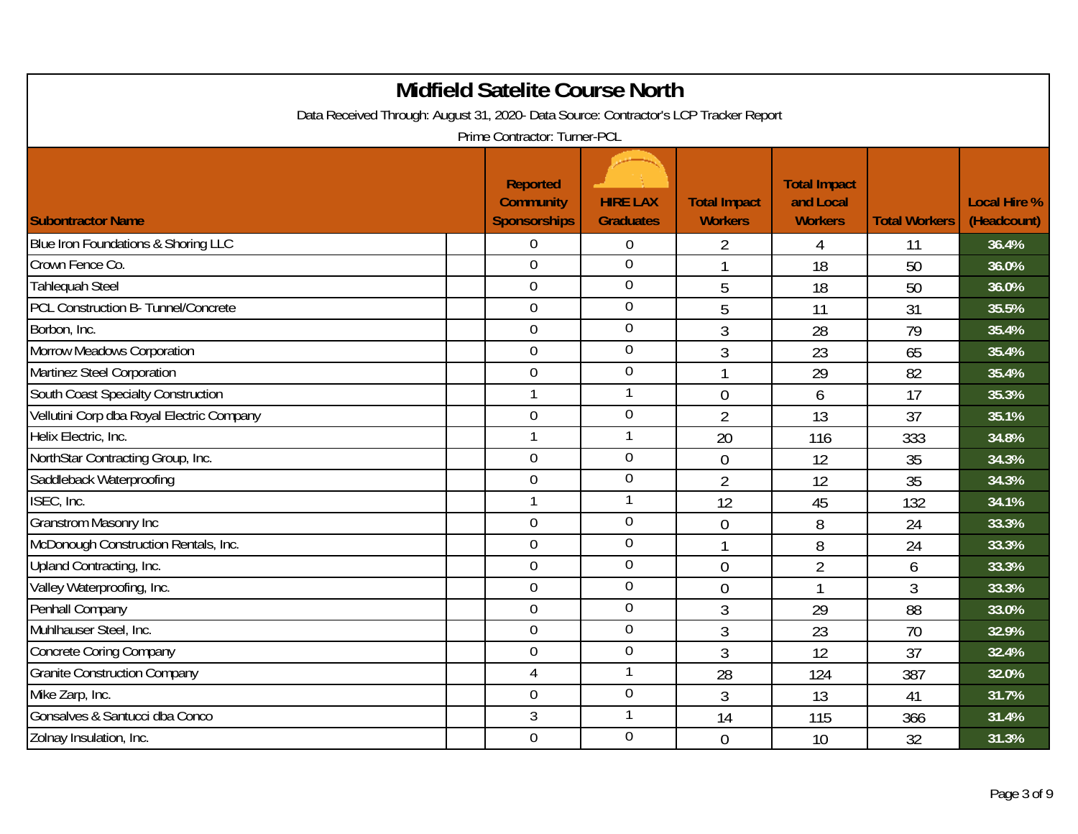| <b>Midfield Satelite Course North</b><br>Data Received Through: August 31, 2020- Data Source: Contractor's LCP Tracker Report<br>Prime Contractor: Turner-PCL |  |                                                            |                                     |                                       |                                                    |                      |                                    |  |  |
|---------------------------------------------------------------------------------------------------------------------------------------------------------------|--|------------------------------------------------------------|-------------------------------------|---------------------------------------|----------------------------------------------------|----------------------|------------------------------------|--|--|
| <b>Subontractor Name</b>                                                                                                                                      |  | <b>Reported</b><br><b>Community</b><br><b>Sponsorships</b> | <b>HIRE LAX</b><br><b>Graduates</b> | <b>Total Impact</b><br><b>Workers</b> | <b>Total Impact</b><br>and Local<br><b>Workers</b> | <b>Total Workers</b> | <b>Local Hire %</b><br>(Headcount) |  |  |
| Blue Iron Foundations & Shoring LLC                                                                                                                           |  | $\overline{0}$                                             | 0                                   | 2                                     | 4                                                  | 11                   | 36.4%                              |  |  |
| Crown Fence Co.                                                                                                                                               |  | $\overline{0}$                                             | $\mathbf 0$                         | $\mathbf{1}$                          | 18                                                 | 50                   | 36.0%                              |  |  |
| <b>Tahlequah Steel</b>                                                                                                                                        |  | $\overline{0}$                                             | $\overline{0}$                      | 5                                     | 18                                                 | 50                   | 36.0%                              |  |  |
| PCL Construction B- Tunnel/Concrete                                                                                                                           |  | $\mathbf 0$                                                | $\mathbf 0$                         | 5                                     | 11                                                 | 31                   | 35.5%                              |  |  |
| Borbon, Inc.                                                                                                                                                  |  | $\mathbf 0$                                                | $\mathbf 0$                         | 3                                     | 28                                                 | 79                   | 35.4%                              |  |  |
| Morrow Meadows Corporation                                                                                                                                    |  | $\overline{0}$                                             | $\overline{0}$                      | 3                                     | 23                                                 | 65                   | 35.4%                              |  |  |
| Martinez Steel Corporation                                                                                                                                    |  | $\overline{0}$                                             | $\mathbf 0$                         |                                       | 29                                                 | 82                   | 35.4%                              |  |  |
| South Coast Specialty Construction                                                                                                                            |  | $\mathbf{1}$                                               | $\mathbf{1}$                        | $\overline{0}$                        | 6                                                  | 17                   | 35.3%                              |  |  |
| Vellutini Corp dba Royal Electric Company                                                                                                                     |  | $\mathbf 0$                                                | $\overline{0}$                      | $\overline{2}$                        | 13                                                 | 37                   | 35.1%                              |  |  |
| Helix Electric, Inc.                                                                                                                                          |  |                                                            |                                     | 20                                    | 116                                                | 333                  | 34.8%                              |  |  |
| NorthStar Contracting Group, Inc.                                                                                                                             |  | $\overline{0}$                                             | $\mathbf 0$                         | $\overline{0}$                        | 12                                                 | 35                   | 34.3%                              |  |  |
| Saddleback Waterproofing                                                                                                                                      |  | $\mathbf 0$                                                | $\overline{0}$                      | $\overline{2}$                        | 12                                                 | 35                   | 34.3%                              |  |  |
| ISEC, Inc.                                                                                                                                                    |  |                                                            |                                     | 12                                    | 45                                                 | 132                  | 34.1%                              |  |  |
| <b>Granstrom Masonry Inc</b>                                                                                                                                  |  | $\mathbf 0$                                                | $\overline{0}$                      | $\overline{0}$                        | 8                                                  | 24                   | 33.3%                              |  |  |
| McDonough Construction Rentals, Inc.                                                                                                                          |  | $\overline{0}$                                             | $\mathbf 0$                         | 1                                     | 8                                                  | 24                   | 33.3%                              |  |  |
| Upland Contracting, Inc.                                                                                                                                      |  | $\overline{0}$                                             | $\boldsymbol{0}$                    | $\overline{0}$                        | $\overline{2}$                                     | 6                    | 33.3%                              |  |  |
| Valley Waterproofing, Inc.                                                                                                                                    |  | $\mathbf 0$                                                | $\overline{0}$                      | $\overline{0}$                        | 1                                                  | 3                    | 33.3%                              |  |  |
| Penhall Company                                                                                                                                               |  | $\overline{0}$                                             | $\overline{0}$                      | 3                                     | 29                                                 | 88                   | 33.0%                              |  |  |
| Muhlhauser Steel, Inc.                                                                                                                                        |  | $\overline{0}$                                             | $\mathbf 0$                         | 3                                     | 23                                                 | 70                   | 32.9%                              |  |  |
| <b>Concrete Coring Company</b>                                                                                                                                |  | $\theta$                                                   | 0                                   | 3                                     | 12                                                 | 37                   | 32.4%                              |  |  |
| <b>Granite Construction Company</b>                                                                                                                           |  | $\overline{4}$                                             | 1                                   | 28                                    | 124                                                | 387                  | 32.0%                              |  |  |
| Mike Zarp, Inc.                                                                                                                                               |  | $\mathbf 0$                                                | $\boldsymbol{0}$                    | 3                                     | 13                                                 | 41                   | 31.7%                              |  |  |
| Gonsalves & Santucci dba Conco                                                                                                                                |  | 3                                                          |                                     | 14                                    | 115                                                | 366                  | 31.4%                              |  |  |
| Zolnay Insulation, Inc.                                                                                                                                       |  | $\mathbf 0$                                                | $\mathbf 0$                         | $\overline{0}$                        | 10                                                 | 32                   | 31.3%                              |  |  |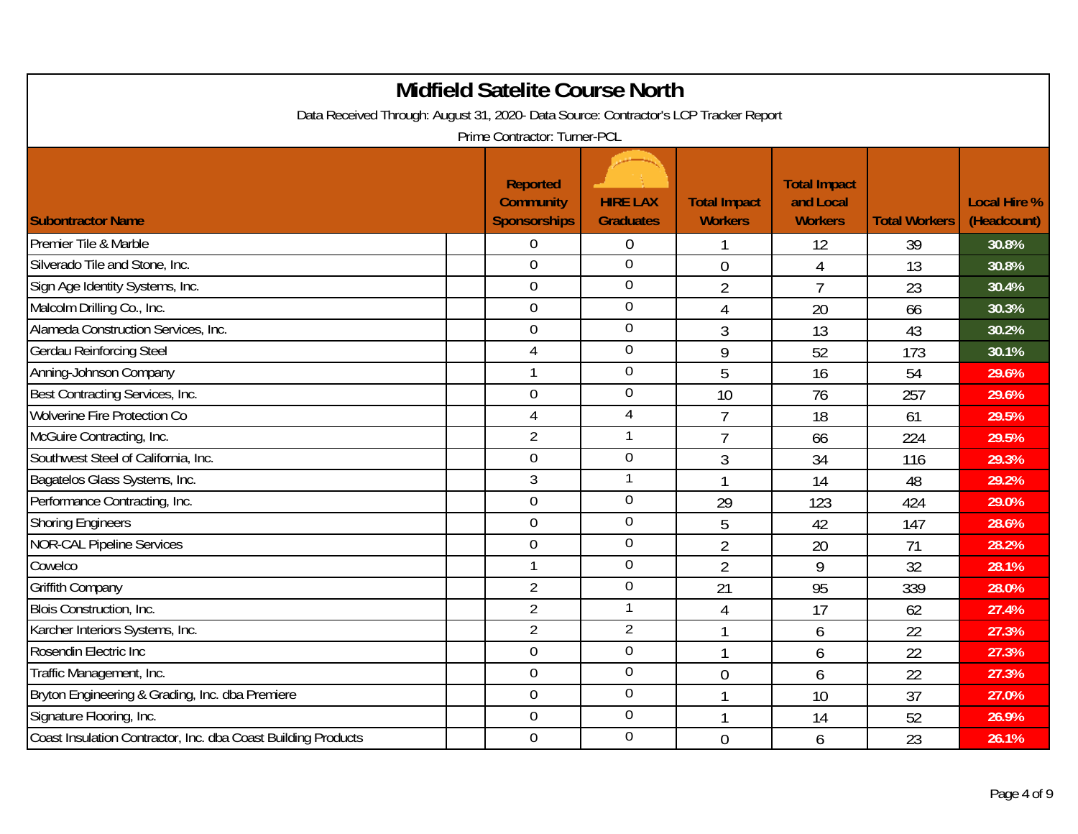| Data Received Through: August 31, 2020- Data Source: Contractor's LCP Tracker Report | <b>Midfield Satelite Course North</b>                      |                                     |                                       |                                                    |                      |                                    |
|--------------------------------------------------------------------------------------|------------------------------------------------------------|-------------------------------------|---------------------------------------|----------------------------------------------------|----------------------|------------------------------------|
|                                                                                      | Prime Contractor: Turner-PCL                               |                                     |                                       |                                                    |                      |                                    |
| <b>Subontractor Name</b>                                                             | <b>Reported</b><br><b>Community</b><br><b>Sponsorships</b> | <b>HIRE LAX</b><br><b>Graduates</b> | <b>Total Impact</b><br><b>Workers</b> | <b>Total Impact</b><br>and Local<br><b>Workers</b> | <b>Total Workers</b> | <b>Local Hire %</b><br>(Headcount) |
| Premier Tile & Marble                                                                | $\overline{0}$                                             | $\overline{0}$                      |                                       | 12                                                 | 39                   | 30.8%                              |
| Silverado Tile and Stone, Inc.                                                       | $\mathbf 0$                                                | $\overline{0}$                      | $\overline{0}$                        | 4                                                  | 13                   | 30.8%                              |
| Sign Age Identity Systems, Inc.                                                      | $\overline{0}$                                             | $\overline{0}$                      | $\overline{2}$                        | $\overline{7}$                                     | 23                   | 30.4%                              |
| Malcolm Drilling Co., Inc.                                                           | $\mathbf 0$                                                | $\mathbf 0$                         | 4                                     | 20                                                 | 66                   | 30.3%                              |
| Alameda Construction Services, Inc.                                                  | $\mathbf 0$                                                | $\mathbf 0$                         | 3                                     | 13                                                 | 43                   | 30.2%                              |
| <b>Gerdau Reinforcing Steel</b>                                                      | $\overline{4}$                                             | $\mathbf 0$                         | 9                                     | 52                                                 | 173                  | 30.1%                              |
| Anning-Johnson Company                                                               |                                                            | $\mathbf 0$                         | 5                                     | 16                                                 | 54                   | 29.6%                              |
| Best Contracting Services, Inc.                                                      | $\mathbf 0$                                                | $\mathbf 0$                         | 10                                    | 76                                                 | 257                  | 29.6%                              |
| Wolverine Fire Protection Co                                                         | $\overline{4}$                                             | $\overline{4}$                      | $\overline{7}$                        | 18                                                 | 61                   | 29.5%                              |
| McGuire Contracting, Inc.                                                            | $\overline{2}$                                             |                                     | $\overline{7}$                        | 66                                                 | 224                  | 29.5%                              |
| Southwest Steel of California, Inc.                                                  | $\mathbf 0$                                                | $\mathbf 0$                         | $\overline{3}$                        | 34                                                 | 116                  | 29.3%                              |
| Bagatelos Glass Systems, Inc.                                                        | 3                                                          | $\mathbf{1}$                        | 1                                     | 14                                                 | 48                   | 29.2%                              |
| Performance Contracting, Inc.                                                        | $\overline{0}$                                             | $\boldsymbol{0}$                    | 29                                    | 123                                                | 424                  | 29.0%                              |
| <b>Shoring Engineers</b>                                                             | $\overline{0}$                                             | $\overline{0}$                      | 5                                     | 42                                                 | 147                  | 28.6%                              |
| <b>NOR-CAL Pipeline Services</b>                                                     | $\mathbf 0$                                                | $\overline{0}$                      | $\overline{2}$                        | 20                                                 | 71                   | 28.2%                              |
| Cowelco                                                                              | $\mathbf{1}$                                               | $\mathbf 0$                         | $\overline{2}$                        | 9                                                  | 32                   | 28.1%                              |
| Griffith Company                                                                     | $\overline{2}$                                             | $\overline{0}$                      | 21                                    | 95                                                 | 339                  | 28.0%                              |
| Blois Construction, Inc.                                                             | $\overline{2}$                                             | 1                                   | 4                                     | 17                                                 | 62                   | 27.4%                              |
| Karcher Interiors Systems, Inc.                                                      | $\overline{2}$                                             | $\overline{2}$                      | -1                                    | 6                                                  | 22                   | 27.3%                              |
| Rosendin Electric Inc                                                                | $\mathbf 0$                                                | $\overline{0}$                      | -1                                    | 6                                                  | 22                   | 27.3%                              |
| Traffic Management, Inc.                                                             | $\mathbf 0$                                                | $\boldsymbol{0}$                    | $\overline{0}$                        | 6                                                  | 22                   | 27.3%                              |
| Bryton Engineering & Grading, Inc. dba Premiere                                      | $\mathbf 0$                                                | $\boldsymbol{0}$                    | 1                                     | 10                                                 | 37                   | 27.0%                              |
| Signature Flooring, Inc.                                                             | $\overline{0}$                                             | $\mathbf 0$                         |                                       | 14                                                 | 52                   | 26.9%                              |
| Coast Insulation Contractor, Inc. dba Coast Building Products                        | $\mathbf 0$                                                | $\mathbf 0$                         | $\overline{0}$                        | 6                                                  | 23                   | 26.1%                              |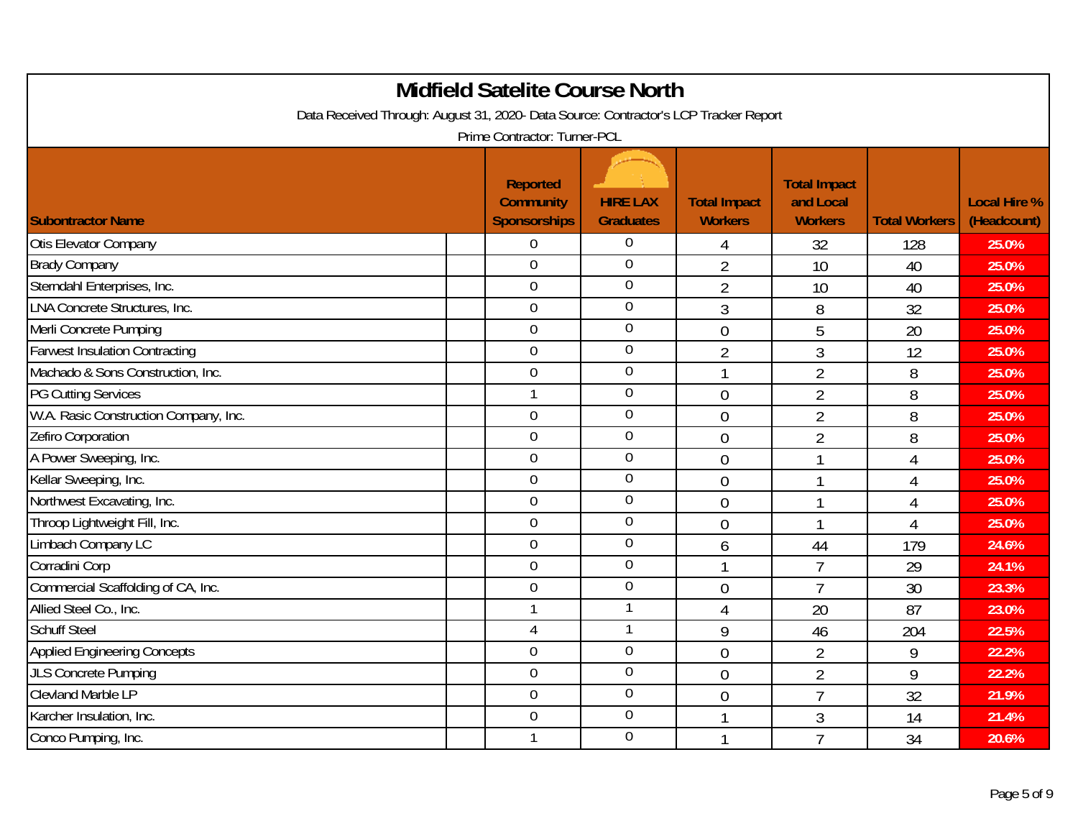| Data Received Through: August 31, 2020- Data Source: Contractor's LCP Tracker Report | <b>Midfield Satelite Course North</b>                      |                                     |                                       |                                                    |                      |                                    |
|--------------------------------------------------------------------------------------|------------------------------------------------------------|-------------------------------------|---------------------------------------|----------------------------------------------------|----------------------|------------------------------------|
|                                                                                      | Prime Contractor: Turner-PCL                               |                                     |                                       |                                                    |                      |                                    |
| <b>Subontractor Name</b>                                                             | <b>Reported</b><br><b>Community</b><br><b>Sponsorships</b> | <b>HIRE LAX</b><br><b>Graduates</b> | <b>Total Impact</b><br><b>Workers</b> | <b>Total Impact</b><br>and Local<br><b>Workers</b> | <b>Total Workers</b> | <b>Local Hire %</b><br>(Headcount) |
| Otis Elevator Company                                                                | $\mathbf 0$                                                | $\overline{0}$                      | 4                                     | 32                                                 | 128                  | 25.0%                              |
| <b>Brady Company</b>                                                                 | $\mathbf 0$                                                | $\overline{0}$                      | $\overline{2}$                        | 10                                                 | 40                   | 25.0%                              |
| Sterndahl Enterprises, Inc.                                                          | 0                                                          | $\overline{0}$                      | $\overline{2}$                        | 10                                                 | 40                   | 25.0%                              |
| LNA Concrete Structures, Inc.                                                        | $\mathbf 0$                                                | $\mathbf 0$                         | $\mathfrak{Z}$                        | 8                                                  | 32                   | 25.0%                              |
| Merli Concrete Pumping                                                               | $\overline{0}$                                             | $\mathbf 0$                         | $\overline{0}$                        | 5                                                  | 20                   | 25.0%                              |
| <b>Farwest Insulation Contracting</b>                                                | $\overline{0}$                                             | $\mathbf 0$                         | $\overline{2}$                        | 3                                                  | 12                   | 25.0%                              |
| Machado & Sons Construction, Inc.                                                    | 0                                                          | $\mathbf 0$                         | 1                                     | $\overline{2}$                                     | 8                    | 25.0%                              |
| <b>PG Cutting Services</b>                                                           | $\mathbf{1}$                                               | $\mathbf 0$                         | $\overline{0}$                        | $\overline{2}$                                     | 8                    | 25.0%                              |
| W.A. Rasic Construction Company, Inc.                                                | $\overline{0}$                                             | $\overline{0}$                      | $\overline{0}$                        | $\overline{2}$                                     | 8                    | 25.0%                              |
| Zefiro Corporation                                                                   | $\overline{0}$                                             | $\boldsymbol{0}$                    | $\overline{0}$                        | $\overline{2}$                                     | 8                    | 25.0%                              |
| A Power Sweeping, Inc.                                                               | $\mathbf 0$                                                | $\overline{0}$                      | $\overline{0}$                        | $\overline{1}$                                     | $\overline{4}$       | 25.0%                              |
| Kellar Sweeping, Inc.                                                                | 0                                                          | $\overline{0}$                      | $\mathbf 0$                           | $\mathbf{1}$                                       | $\overline{4}$       | 25.0%                              |
| Northwest Excavating, Inc.                                                           | $\overline{0}$                                             | $\boldsymbol{0}$                    | $\overline{0}$                        | 1                                                  | $\overline{4}$       | 25.0%                              |
| Throop Lightweight Fill, Inc.                                                        | $\overline{0}$                                             | $\overline{0}$                      | $\overline{0}$                        | $\mathbf{1}$                                       | $\overline{4}$       | 25.0%                              |
| Limbach Company LC                                                                   | $\mathbf 0$                                                | $\overline{0}$                      | 6                                     | 44                                                 | 179                  | 24.6%                              |
| Corradini Corp                                                                       | $\overline{0}$                                             | $\overline{0}$                      | $\mathbf{1}$                          | $\overline{7}$                                     | 29                   | 24.1%                              |
| Commercial Scaffolding of CA, Inc.                                                   | $\overline{0}$                                             | $\overline{0}$                      | $\overline{0}$                        | $\overline{7}$                                     | 30                   | 23.3%                              |
| Allied Steel Co., Inc.                                                               | $\mathbf{1}$                                               |                                     | $\overline{4}$                        | 20                                                 | 87                   | 23.0%                              |
| <b>Schuff Steel</b>                                                                  | 4                                                          |                                     | 9                                     | 46                                                 | 204                  | 22.5%                              |
| <b>Applied Engineering Concepts</b>                                                  | $\mathbf 0$                                                | $\boldsymbol{0}$                    | $\overline{0}$                        | $\overline{2}$                                     | 9                    | 22.2%                              |
| <b>JLS Concrete Pumping</b>                                                          | $\overline{0}$                                             | $\boldsymbol{0}$                    | $\overline{0}$                        | $\overline{2}$                                     | 9                    | 22.2%                              |
| <b>Clevland Marble LP</b>                                                            | $\mathbf 0$                                                | $\boldsymbol{0}$                    | $\overline{0}$                        | $\overline{7}$                                     | 32                   | 21.9%                              |
| Karcher Insulation, Inc.                                                             | 0                                                          | $\mathbf 0$                         |                                       | 3                                                  | 14                   | 21.4%                              |
| Conco Pumping, Inc.                                                                  | 1                                                          | $\mathbf 0$                         | 1                                     | $\overline{7}$                                     | 34                   | 20.6%                              |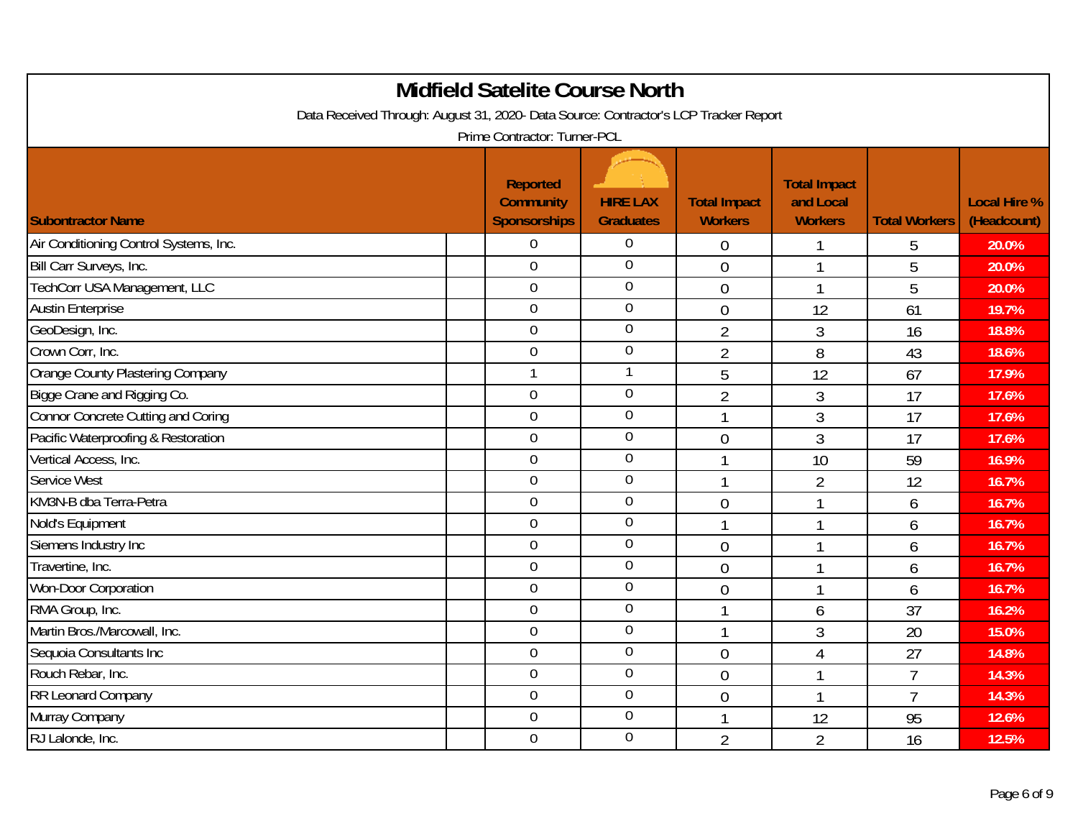| Data Received Through: August 31, 2020- Data Source: Contractor's LCP Tracker Report |                                                     | <b>Midfield Satelite Course North</b> |                                       |                                                    |                      |                                    |
|--------------------------------------------------------------------------------------|-----------------------------------------------------|---------------------------------------|---------------------------------------|----------------------------------------------------|----------------------|------------------------------------|
|                                                                                      | Prime Contractor: Turner-PCL                        |                                       |                                       |                                                    |                      |                                    |
| <b>Subontractor Name</b>                                                             | Reported<br><b>Community</b><br><b>Sponsorships</b> | <b>HIRE LAX</b><br><b>Graduates</b>   | <b>Total Impact</b><br><b>Workers</b> | <b>Total Impact</b><br>and Local<br><b>Workers</b> | <b>Total Workers</b> | <b>Local Hire %</b><br>(Headcount) |
| Air Conditioning Control Systems, Inc.                                               | $\overline{0}$                                      | $\overline{0}$                        | 0                                     |                                                    | 5                    | 20.0%                              |
| Bill Carr Surveys, Inc.                                                              | $\overline{0}$                                      | $\mathbf 0$                           | $\overline{0}$                        | 1                                                  | 5                    | 20.0%                              |
| TechCorr USA Management, LLC                                                         | $\overline{0}$                                      | $\mathbf 0$                           | $\overline{0}$                        | 1                                                  | 5                    | 20.0%                              |
| <b>Austin Enterprise</b>                                                             | $\mathbf 0$                                         | $\mathbf 0$                           | $\overline{0}$                        | 12                                                 | 61                   | 19.7%                              |
| GeoDesign, Inc.                                                                      | $\mathbf 0$                                         | $\overline{0}$                        | $\overline{2}$                        | $\mathfrak{Z}$                                     | 16                   | 18.8%                              |
| Crown Corr, Inc.                                                                     | $\mathbf 0$                                         | $\overline{0}$                        | $\overline{2}$                        | 8                                                  | 43                   | 18.6%                              |
| Orange County Plastering Company                                                     | $\mathbf{1}$                                        |                                       | 5                                     | 12                                                 | 67                   | 17.9%                              |
| Bigge Crane and Rigging Co.                                                          | $\mathbf 0$                                         | $\mathbf 0$                           | $\overline{2}$                        | 3                                                  | 17                   | 17.6%                              |
| <b>Connor Concrete Cutting and Coring</b>                                            | $\mathbf 0$                                         | $\mathbf 0$                           | 1                                     | 3                                                  | 17                   | 17.6%                              |
| Pacific Waterproofing & Restoration                                                  | $\overline{0}$                                      | $\mathbf 0$                           | $\overline{0}$                        | 3                                                  | 17                   | 17.6%                              |
| Vertical Access, Inc.                                                                | $\mathbf 0$                                         | $\mathbf 0$                           | 1                                     | 10                                                 | 59                   | 16.9%                              |
| Service West                                                                         | $\overline{0}$                                      | $\mathbf 0$                           | 1                                     | 2                                                  | 12                   | 16.7%                              |
| KM3N-B dba Terra-Petra                                                               | $\overline{0}$                                      | $\mathbf 0$                           | $\overline{0}$                        |                                                    | 6                    | 16.7%                              |
| Nold's Equipment                                                                     | $\mathbf 0$                                         | $\overline{0}$                        | $\mathbf{1}$                          | 1                                                  | 6                    | 16.7%                              |
| Siemens Industry Inc                                                                 | $\overline{0}$                                      | $\mathbf 0$                           | $\overline{0}$                        |                                                    | 6                    | 16.7%                              |
| Travertine, Inc.                                                                     | $\overline{0}$                                      | $\boldsymbol{0}$                      | $\overline{0}$                        |                                                    | 6                    | 16.7%                              |
| Won-Door Corporation                                                                 | $\mathbf 0$                                         | $\overline{0}$                        | $\overline{0}$                        | 1                                                  | 6                    | 16.7%                              |
| RMA Group, Inc.                                                                      | $\overline{0}$                                      | $\overline{0}$                        | $\mathbf{1}$                          | 6                                                  | 37                   | 16.2%                              |
| Martin Bros./Marcowall, Inc.                                                         | $\overline{0}$                                      | $\overline{0}$                        | 1                                     | 3                                                  | 20                   | 15.0%                              |
| Sequoia Consultants Inc                                                              | $\overline{0}$                                      | $\overline{0}$                        | $\overline{0}$                        | 4                                                  | 27                   | 14.8%                              |
| Rouch Rebar, Inc.                                                                    | $\mathbf 0$                                         | $\boldsymbol{0}$                      | $\overline{0}$                        | 1                                                  | $\overline{7}$       | 14.3%                              |
| RR Leonard Company                                                                   | $\mathbf 0$                                         | $\boldsymbol{0}$                      | $\overline{0}$                        | $\mathbf{1}$                                       | $\overline{7}$       | 14.3%                              |
| Murray Company                                                                       | $\overline{0}$                                      | $\mathbf 0$                           | 1                                     | 12                                                 | 95                   | 12.6%                              |
| RJ Lalonde, Inc.                                                                     | $\mathbf 0$                                         | $\mathbf 0$                           | $\overline{2}$                        | $\overline{2}$                                     | 16                   | 12.5%                              |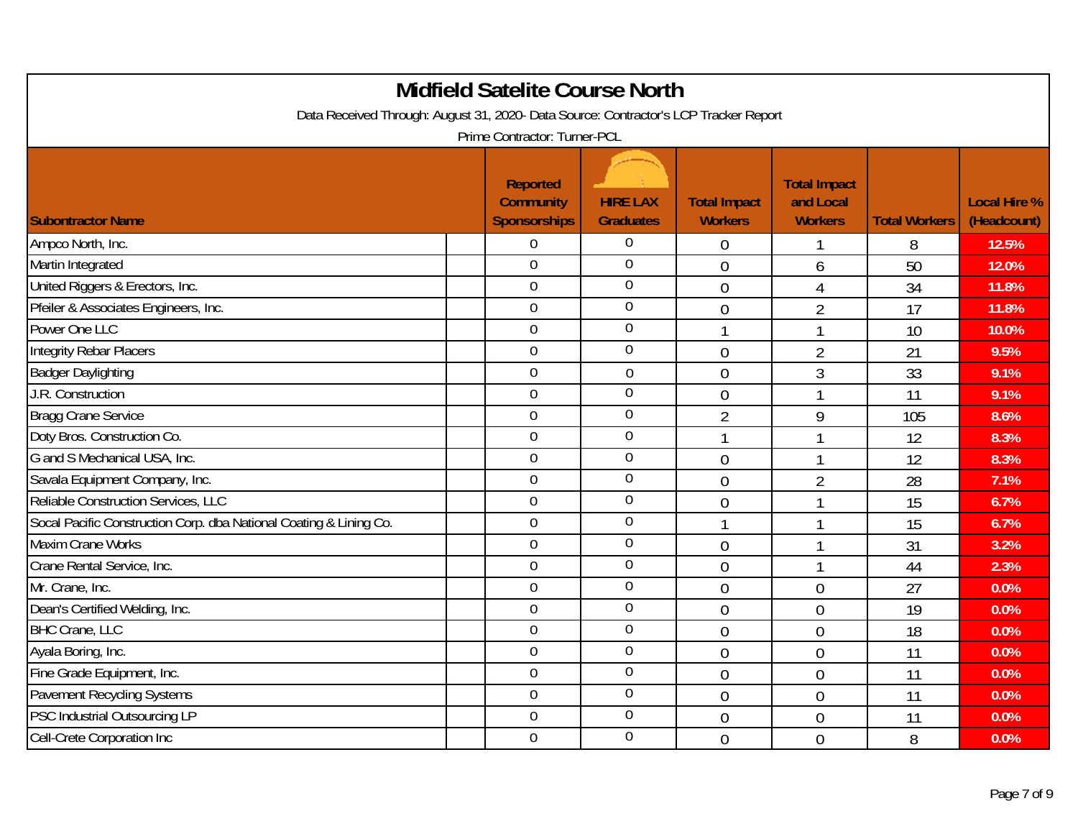| Data Received Through: August 31, 2020- Data Source: Contractor's LCP Tracker Report | <b>Midfield Satelite Course North</b>                      |                                     |                                       |                                                    |                      |                                    |
|--------------------------------------------------------------------------------------|------------------------------------------------------------|-------------------------------------|---------------------------------------|----------------------------------------------------|----------------------|------------------------------------|
|                                                                                      | Prime Contractor: Turner-PCL                               |                                     |                                       |                                                    |                      |                                    |
| <b>Subontractor Name</b>                                                             | <b>Reported</b><br><b>Community</b><br><b>Sponsorships</b> | <b>HIRE LAX</b><br><b>Graduates</b> | <b>Total Impact</b><br><b>Workers</b> | <b>Total Impact</b><br>and Local<br><b>Workers</b> | <b>Total Workers</b> | <b>Local Hire %</b><br>(Headcount) |
| Ampco North, Inc.                                                                    | $\overline{0}$                                             | $\overline{0}$                      | $\theta$                              |                                                    | 8                    | 12.5%                              |
| Martin Integrated                                                                    | $\mathbf 0$                                                | $\overline{0}$                      | $\overline{0}$                        | 6                                                  | 50                   | 12.0%                              |
| United Riggers & Erectors, Inc.                                                      | $\overline{0}$                                             | $\overline{0}$                      | $\overline{0}$                        | $\overline{4}$                                     | 34                   | 11.8%                              |
| Pfeiler & Associates Engineers, Inc.                                                 | $\mathbf 0$                                                | $\mathbf 0$                         | $\overline{0}$                        | $\overline{2}$                                     | 17                   | 11.8%                              |
| Power One LLC                                                                        | $\mathbf 0$                                                | $\mathbf 0$                         | $\mathbf{1}$                          | $\mathbf{1}$                                       | 10                   | 10.0%                              |
| <b>Integrity Rebar Placers</b>                                                       | $\mathbf 0$                                                | $\overline{0}$                      | $\overline{0}$                        | $\overline{2}$                                     | 21                   | 9.5%                               |
| <b>Badger Daylighting</b>                                                            | $\overline{0}$                                             | $\mathbf 0$                         | $\overline{0}$                        | 3                                                  | 33                   | 9.1%                               |
| J.R. Construction                                                                    | $\mathbf 0$                                                | $\overline{0}$                      | $\overline{0}$                        | $\mathbf{1}$                                       | 11                   | 9.1%                               |
| <b>Bragg Crane Service</b>                                                           | $\overline{0}$                                             | $\overline{0}$                      | $\overline{2}$                        | 9                                                  | 105                  | 8.6%                               |
| Doty Bros. Construction Co.                                                          | $\mathbf 0$                                                | $\boldsymbol{0}$                    | 1                                     |                                                    | 12                   | 8.3%                               |
| G and S Mechanical USA, Inc.                                                         | $\mathbf 0$                                                | $\overline{0}$                      | $\overline{0}$                        | $\mathbf{1}$                                       | 12                   | 8.3%                               |
| Savala Equipment Company, Inc.                                                       | $\overline{0}$                                             | $\overline{0}$                      | $\mathbf{0}$                          | $\overline{2}$                                     | 28                   | 7.1%                               |
| Reliable Construction Services, LLC                                                  | $\overline{0}$                                             | $\overline{0}$                      | $\overline{0}$                        |                                                    | 15                   | 6.7%                               |
| Socal Pacific Construction Corp. dba National Coating & Lining Co.                   | $\overline{0}$                                             | $\overline{0}$                      | $\mathbf{1}$                          | $\mathbf{1}$                                       | 15                   | 6.7%                               |
| Maxim Crane Works                                                                    | $\mathbf 0$                                                | $\overline{0}$                      | $\overline{0}$                        | $\mathbf{1}$                                       | 31                   | 3.2%                               |
| Crane Rental Service, Inc.                                                           | $\overline{0}$                                             | $\overline{0}$                      | $\overline{0}$                        | $\mathbf{1}$                                       | 44                   | 2.3%                               |
| Mr. Crane, Inc.                                                                      | $\overline{0}$                                             | $\overline{0}$                      | $\overline{0}$                        | $\overline{0}$                                     | 27                   | 0.0%                               |
| Dean's Certified Welding, Inc.                                                       | $\mathbf 0$                                                | $\mathbf 0$                         | $\overline{0}$                        | $\overline{0}$                                     | 19                   | 0.0%                               |
| <b>BHC Crane, LLC</b>                                                                | $\overline{0}$                                             | $\mathbf 0$                         | $\overline{0}$                        | $\mathbf 0$                                        | 18                   | 0.0%                               |
| Ayala Boring, Inc.                                                                   | $\overline{0}$                                             | $\boldsymbol{0}$                    | $\overline{0}$                        | $\overline{0}$                                     | 11                   | 0.0%                               |
| Fine Grade Equipment, Inc.                                                           | $\mathbf 0$                                                | $\boldsymbol{0}$                    | $\overline{0}$                        | $\mathbf 0$                                        | 11                   | 0.0%                               |
| Pavement Recycling Systems                                                           | $\mathbf 0$                                                | $\boldsymbol{0}$                    | $\overline{0}$                        | $\overline{0}$                                     | 11                   | 0.0%                               |
| PSC Industrial Outsourcing LP                                                        | $\overline{0}$                                             | $\mathbf 0$                         | $\overline{0}$                        | $\overline{0}$                                     | 11                   | 0.0%                               |
| Cell-Crete Corporation Inc                                                           | $\mathbf 0$                                                | $\mathbf 0$                         | $\overline{0}$                        | $\overline{0}$                                     | 8                    | 0.0%                               |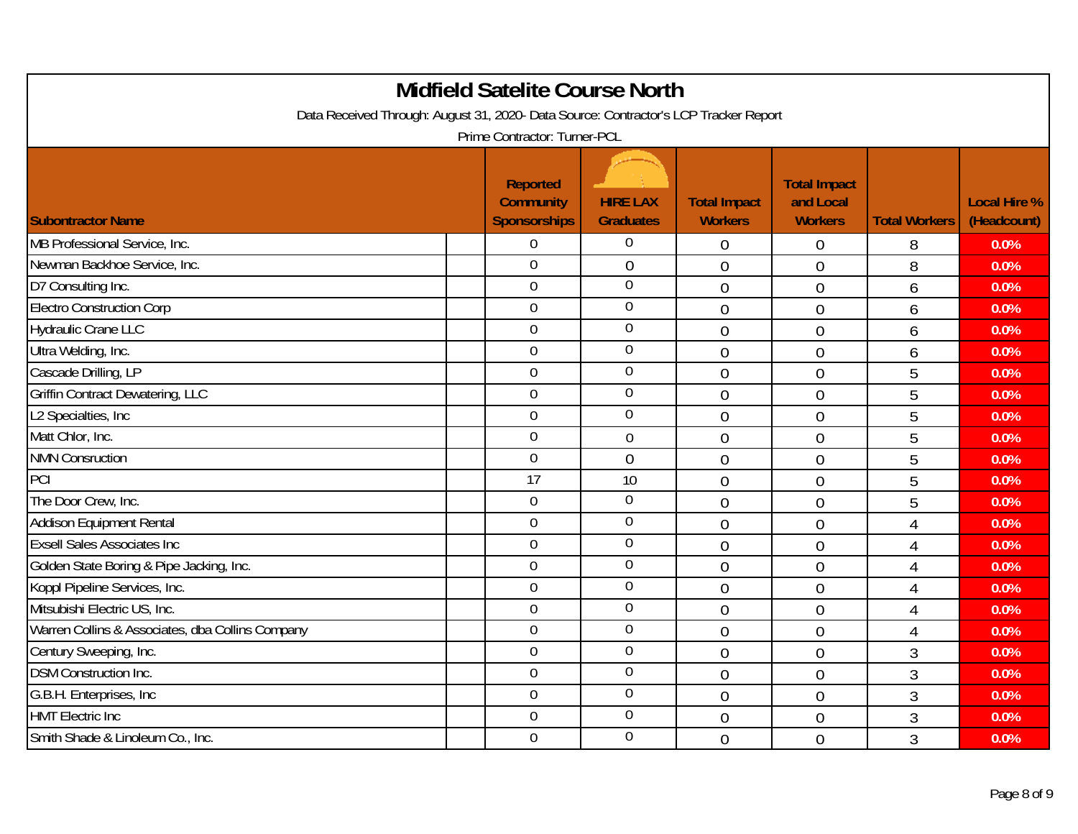|                                                                                      | <b>Midfield Satelite Course North</b>               |                                     |                                       |                                                    |                      |                                    |
|--------------------------------------------------------------------------------------|-----------------------------------------------------|-------------------------------------|---------------------------------------|----------------------------------------------------|----------------------|------------------------------------|
| Data Received Through: August 31, 2020- Data Source: Contractor's LCP Tracker Report |                                                     |                                     |                                       |                                                    |                      |                                    |
|                                                                                      | Prime Contractor: Turner-PCL                        |                                     |                                       |                                                    |                      |                                    |
| <b>Subontractor Name</b>                                                             | Reported<br><b>Community</b><br><b>Sponsorships</b> | <b>HIRE LAX</b><br><b>Graduates</b> | <b>Total Impact</b><br><b>Workers</b> | <b>Total Impact</b><br>and Local<br><b>Workers</b> | <b>Total Workers</b> | <b>Local Hire %</b><br>(Headcount) |
| MB Professional Service, Inc.                                                        | $\overline{0}$                                      | $\overline{0}$                      | $\overline{0}$                        | 0                                                  | 8                    | 0.0%                               |
| Newman Backhoe Service, Inc.                                                         | $\mathbf 0$                                         | $\boldsymbol{0}$                    | $\overline{0}$                        | $\overline{0}$                                     | 8                    | 0.0%                               |
| D7 Consulting Inc.                                                                   | $\overline{0}$                                      | $\overline{0}$                      | $\overline{0}$                        | $\overline{0}$                                     | 6                    | 0.0%                               |
| <b>Electro Construction Corp</b>                                                     | $\mathbf 0$                                         | $\boldsymbol{0}$                    | $\overline{0}$                        | $\overline{0}$                                     | 6                    | 0.0%                               |
| <b>Hydraulic Crane LLC</b>                                                           | $\boldsymbol{0}$                                    | $\mathbf 0$                         | $\overline{0}$                        | $\overline{0}$                                     | 6                    | 0.0%                               |
| Ultra Welding, Inc.                                                                  | $\overline{0}$                                      | $\mathbf 0$                         | $\overline{0}$                        | $\overline{0}$                                     | 6                    | 0.0%                               |
| Cascade Drilling, LP                                                                 | $\overline{0}$                                      | $\mathbf 0$                         | $\overline{0}$                        | $\overline{0}$                                     | 5                    | 0.0%                               |
| Griffin Contract Dewatering, LLC                                                     | $\mathbf 0$                                         | $\mathbf 0$                         | $\overline{0}$                        | $\overline{0}$                                     | 5                    | 0.0%                               |
| L2 Specialties, Inc.                                                                 | $\overline{0}$                                      | $\overline{0}$                      | $\overline{0}$                        | $\overline{0}$                                     | 5                    | 0.0%                               |
| Matt Chlor, Inc.                                                                     | $\mathbf 0$                                         | $\mathbf 0$                         | $\overline{0}$                        | $\overline{0}$                                     | 5                    | 0.0%                               |
| <b>NMN Consruction</b>                                                               | $\mathbf 0$                                         | $\overline{0}$                      | $\overline{0}$                        | $\overline{0}$                                     | 5                    | 0.0%                               |
| PCI                                                                                  | 17                                                  | 10                                  | $\overline{0}$                        | $\overline{0}$                                     | 5                    | 0.0%                               |
| The Door Crew, Inc.                                                                  | $\mathbf 0$                                         | $\mathbf 0$                         | $\overline{0}$                        | $\overline{0}$                                     | 5                    | 0.0%                               |
| <b>Addison Equipment Rental</b>                                                      | $\overline{0}$                                      | $\mathbf 0$                         | $\overline{0}$                        | $\overline{0}$                                     | $\overline{4}$       | 0.0%                               |
| <b>Exsell Sales Associates Inc</b>                                                   | $\mathbf 0$                                         | $\mathbf 0$                         | $\overline{0}$                        | $\overline{0}$                                     | $\overline{4}$       | 0.0%                               |
| Golden State Boring & Pipe Jacking, Inc.                                             | $\overline{0}$                                      | $\overline{0}$                      | $\overline{0}$                        | $\overline{0}$                                     | $\overline{4}$       | 0.0%                               |
| Koppl Pipeline Services, Inc.                                                        | $\mathbf 0$                                         | $\overline{0}$                      | $\overline{0}$                        | $\overline{0}$                                     | $\overline{4}$       | 0.0%                               |
| Mitsubishi Electric US, Inc.                                                         | $\mathbf 0$                                         | $\mathbf 0$                         | $\overline{0}$                        | $\overline{0}$                                     | $\overline{4}$       | 0.0%                               |
| Warren Collins & Associates, dba Collins Company                                     | $\mathbf 0$                                         | $\overline{0}$                      | $\overline{0}$                        | $\mathbf 0$                                        | $\overline{4}$       | 0.0%                               |
| Century Sweeping, Inc.                                                               | $\overline{0}$                                      | $\mathbf 0$                         | $\overline{0}$                        | $\overline{0}$                                     | 3                    | 0.0%                               |
| <b>DSM Construction Inc.</b>                                                         | $\boldsymbol{0}$                                    | $\mathbf 0$                         | $\overline{0}$                        | $\overline{0}$                                     | $\overline{3}$       | 0.0%                               |
| G.B.H. Enterprises, Inc.                                                             | $\mathbf 0$                                         | $\mathbf 0$                         | $\overline{0}$                        | $\overline{0}$                                     | 3                    | 0.0%                               |
| <b>HMT Electric Inc</b>                                                              | $\overline{0}$                                      | $\overline{0}$                      | $\overline{0}$                        | $\overline{0}$                                     | 3                    | 0.0%                               |
| Smith Shade & Linoleum Co., Inc.                                                     | $\overline{0}$                                      | $\mathbf 0$                         | $\overline{0}$                        | $\overline{0}$                                     | 3                    | 0.0%                               |